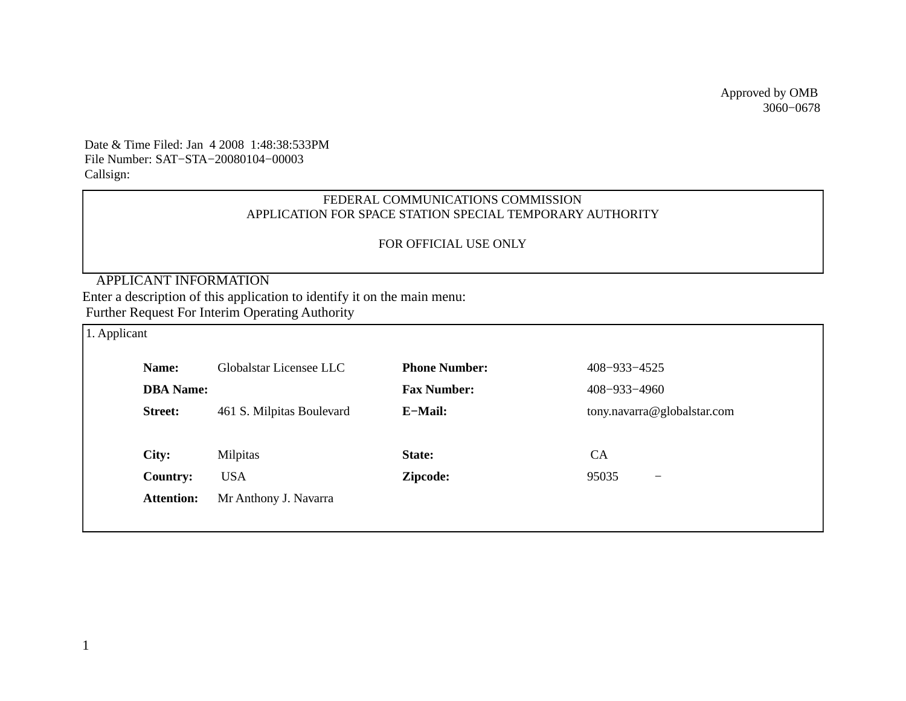Approved by OMB 3060−0678

Date & Time Filed: Jan 4 2008 1:48:38:533PM File Number: SAT−STA−20080104−00003 Callsign:

## FEDERAL COMMUNICATIONS COMMISSION APPLICATION FOR SPACE STATION SPECIAL TEMPORARY AUTHORITY

## FOR OFFICIAL USE ONLY

# APPLICANT INFORMATION

Enter a description of this application to identify it on the main menu:

Further Request For Interim Operating Authority

| 1. Applicant |                   |                           |                      |                                   |  |  |  |
|--------------|-------------------|---------------------------|----------------------|-----------------------------------|--|--|--|
|              | Name:             | Globalstar Licensee LLC   | <b>Phone Number:</b> | 408-933-4525                      |  |  |  |
|              | <b>DBA</b> Name:  |                           | <b>Fax Number:</b>   | 408-933-4960                      |  |  |  |
|              | <b>Street:</b>    | 461 S. Milpitas Boulevard | E-Mail:              | tony.navarra@globalstar.com       |  |  |  |
|              |                   |                           |                      |                                   |  |  |  |
|              | City:             | Milpitas                  | State:               | <b>CA</b>                         |  |  |  |
|              | <b>Country:</b>   | <b>USA</b>                | Zipcode:             | 95035<br>$\overline{\phantom{m}}$ |  |  |  |
|              | <b>Attention:</b> | Mr Anthony J. Navarra     |                      |                                   |  |  |  |
|              |                   |                           |                      |                                   |  |  |  |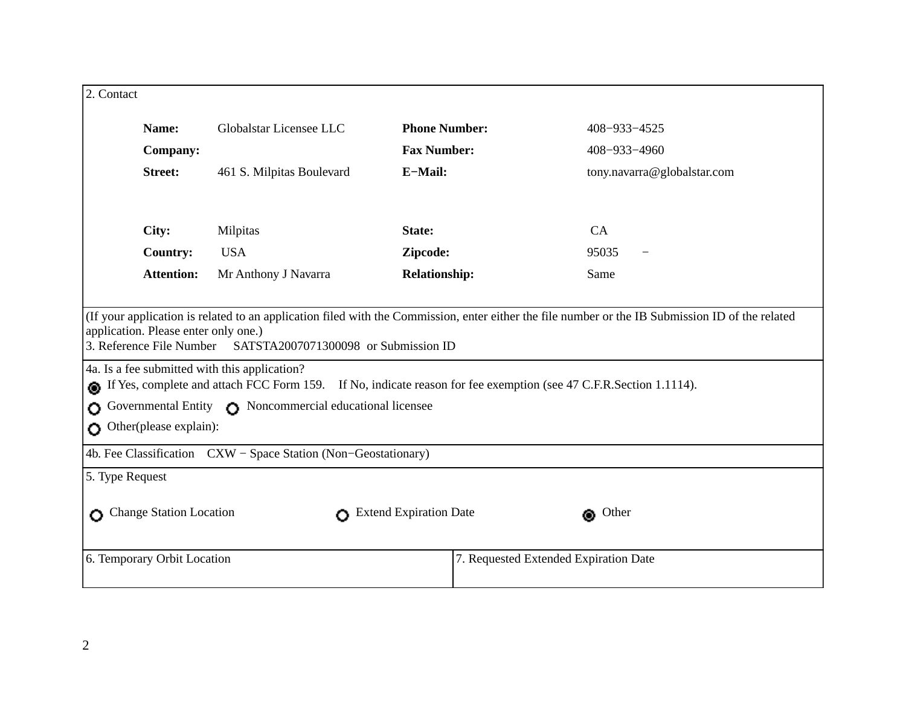| 2. Contact                                                                                                                                                                                                                                                                                                                          |                           |                      |                                       |  |  |  |
|-------------------------------------------------------------------------------------------------------------------------------------------------------------------------------------------------------------------------------------------------------------------------------------------------------------------------------------|---------------------------|----------------------|---------------------------------------|--|--|--|
| Name:                                                                                                                                                                                                                                                                                                                               | Globalstar Licensee LLC   | <b>Phone Number:</b> | 408-933-4525                          |  |  |  |
| <b>Company:</b>                                                                                                                                                                                                                                                                                                                     |                           | <b>Fax Number:</b>   | 408-933-4960                          |  |  |  |
| <b>Street:</b>                                                                                                                                                                                                                                                                                                                      | 461 S. Milpitas Boulevard | E-Mail:              | tony.navarra@globalstar.com           |  |  |  |
| City:                                                                                                                                                                                                                                                                                                                               | Milpitas                  | State:               | CA                                    |  |  |  |
| <b>Country:</b>                                                                                                                                                                                                                                                                                                                     | <b>USA</b>                | Zipcode:             | 95035                                 |  |  |  |
| <b>Attention:</b>                                                                                                                                                                                                                                                                                                                   | Mr Anthony J Navarra      | <b>Relationship:</b> | Same                                  |  |  |  |
| 3. Reference File Number SATSTA2007071300098 or Submission ID<br>4a. Is a fee submitted with this application?<br>If Yes, complete and attach FCC Form 159. If No, indicate reason for fee exemption (see 47 C.F.R.Section 1.1114).<br>Governmental Entity C Noncommercial educational licensee<br>Ο<br>Other(please explain):<br>Ο |                           |                      |                                       |  |  |  |
| 4b. Fee Classification CXW - Space Station (Non-Geostationary)                                                                                                                                                                                                                                                                      |                           |                      |                                       |  |  |  |
| 5. Type Request                                                                                                                                                                                                                                                                                                                     |                           |                      |                                       |  |  |  |
| Change Station Location<br><b>Extend Expiration Date</b><br><b>Other</b>                                                                                                                                                                                                                                                            |                           |                      |                                       |  |  |  |
| 6. Temporary Orbit Location                                                                                                                                                                                                                                                                                                         |                           |                      | 7. Requested Extended Expiration Date |  |  |  |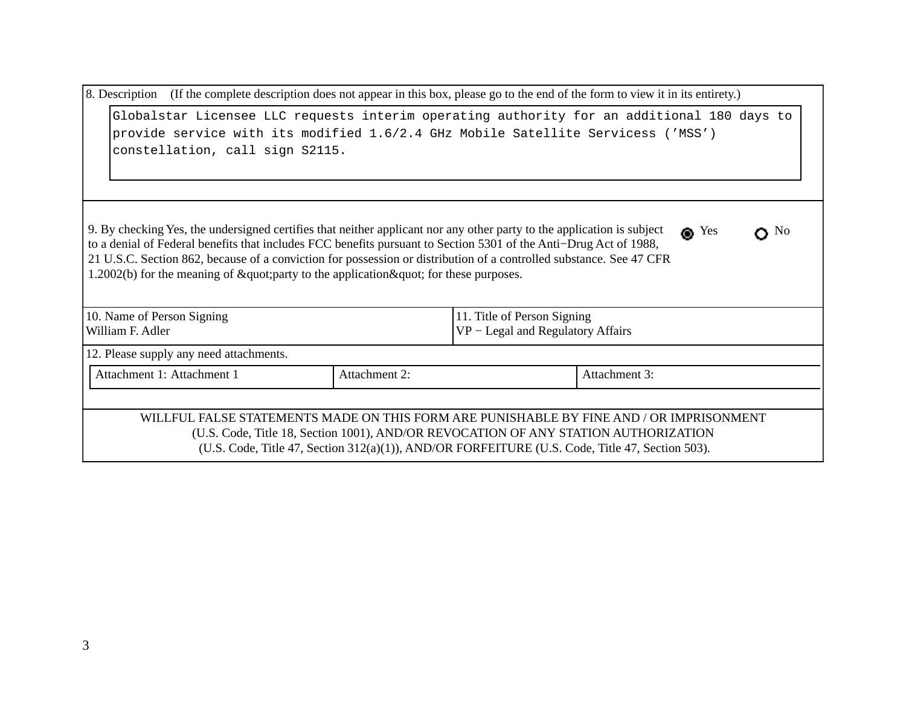|  |  | 8. Description (If the complete description does not appear in this box, please go to the end of the form to view it in its entirety.) |  |
|--|--|----------------------------------------------------------------------------------------------------------------------------------------|--|
|  |  |                                                                                                                                        |  |

|                                 |  |  |  |  |  | Globalstar Licensee LLC requests interim operating authority for an additional 180 days to |  |  |
|---------------------------------|--|--|--|--|--|--------------------------------------------------------------------------------------------|--|--|
|                                 |  |  |  |  |  | provide service with its modified 1.6/2.4 GHz Mobile Satellite Servicess ('MSS')           |  |  |
| constellation, call sign S2115. |  |  |  |  |  |                                                                                            |  |  |

| 9. By checking Yes, the undersigned certifies that neither applicant nor any other party to the application is subject | $\bullet$ Yes | $\bigcap$ No |
|------------------------------------------------------------------------------------------------------------------------|---------------|--------------|
| to a denial of Federal benefits that includes FCC benefits pursuant to Section 5301 of the Anti-Drug Act of 1988,      |               |              |
| 21 U.S.C. Section 862, because of a conviction for possession or distribution of a controlled substance. See 47 CFR    |               |              |
| $1.2002(b)$ for the meaning of " party to the application " for these purposes.                                        |               |              |

| 10. Name of Person Signing              | 11. Title of Person Signing          |
|-----------------------------------------|--------------------------------------|
| William F. Adler                        | $ VP - Legal$ and Regulatory Affairs |
| 12. Please supply any need attachments. |                                      |

| . . | '' | 21 H<br>лин<br>⊿ |
|-----|----|------------------|
|     |    |                  |

## WILLFUL FALSE STATEMENTS MADE ON THIS FORM ARE PUNISHABLE BY FINE AND / OR IMPRISONMENT (U.S. Code, Title 18, Section 1001), AND/OR REVOCATION OF ANY STATION AUTHORIZATION (U.S. Code, Title 47, Section 312(a)(1)), AND/OR FORFEITURE (U.S. Code, Title 47, Section 503).